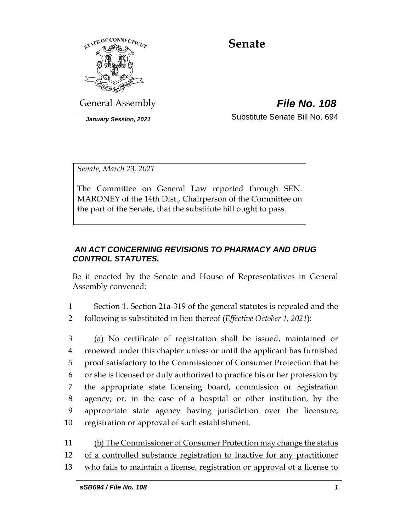

# **Senate**

General Assembly *File No. 108*

*January Session, 2021* Substitute Senate Bill No. 694

*Senate, March 23, 2021*

The Committee on General Law reported through SEN. MARONEY of the 14th Dist., Chairperson of the Committee on the part of the Senate, that the substitute bill ought to pass.

## *AN ACT CONCERNING REVISIONS TO PHARMACY AND DRUG CONTROL STATUTES.*

Be it enacted by the Senate and House of Representatives in General Assembly convened:

1 Section 1. Section 21a-319 of the general statutes is repealed and the 2 following is substituted in lieu thereof (*Effective October 1, 2021*):

 (a) No certificate of registration shall be issued, maintained or renewed under this chapter unless or until the applicant has furnished proof satisfactory to the Commissioner of Consumer Protection that he or she is licensed or duly authorized to practice his or her profession by the appropriate state licensing board, commission or registration agency; or, in the case of a hospital or other institution, by the appropriate state agency having jurisdiction over the licensure, registration or approval of such establishment.

- 11 (b) The Commissioner of Consumer Protection may change the status
- 12 of a controlled substance registration to inactive for any practitioner
- 13 who fails to maintain a license, registration or approval of a license to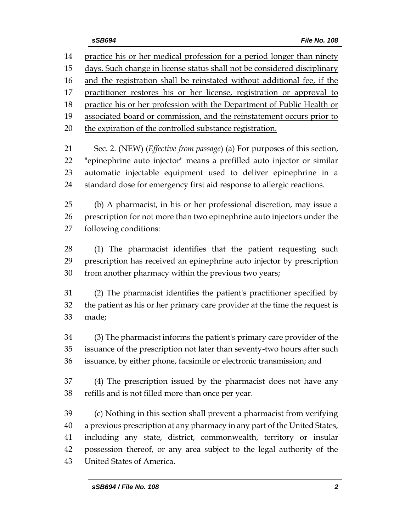practice his or her medical profession for a period longer than ninety days. Such change in license status shall not be considered disciplinary 16 and the registration shall be reinstated without additional fee, if the practitioner restores his or her license, registration or approval to 18 practice his or her profession with the Department of Public Health or 19 associated board or commission, and the reinstatement occurs prior to the expiration of the controlled substance registration. Sec. 2. (NEW) (*Effective from passage*) (a) For purposes of this section, "epinephrine auto injector" means a prefilled auto injector or similar automatic injectable equipment used to deliver epinephrine in a standard dose for emergency first aid response to allergic reactions. (b) A pharmacist, in his or her professional discretion, may issue a prescription for not more than two epinephrine auto injectors under the following conditions: (1) The pharmacist identifies that the patient requesting such prescription has received an epinephrine auto injector by prescription from another pharmacy within the previous two years; (2) The pharmacist identifies the patient's practitioner specified by the patient as his or her primary care provider at the time the request is made; (3) The pharmacist informs the patient's primary care provider of the issuance of the prescription not later than seventy-two hours after such issuance, by either phone, facsimile or electronic transmission; and (4) The prescription issued by the pharmacist does not have any refills and is not filled more than once per year. (c) Nothing in this section shall prevent a pharmacist from verifying a previous prescription at any pharmacy in any part of the United States, including any state, district, commonwealth, territory or insular possession thereof, or any area subject to the legal authority of the United States of America.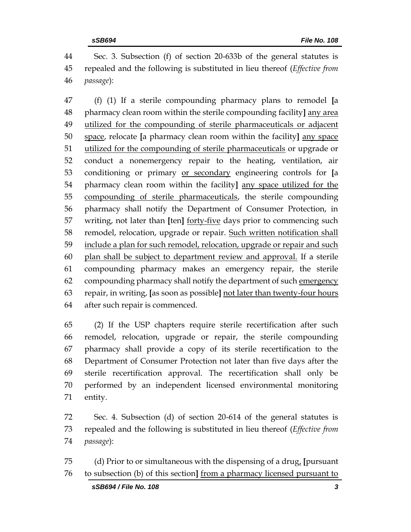Sec. 3. Subsection (f) of section 20-633b of the general statutes is repealed and the following is substituted in lieu thereof (*Effective from passage*):

 (f) (1) If a sterile compounding pharmacy plans to remodel **[**a pharmacy clean room within the sterile compounding facility**]** any area utilized for the compounding of sterile pharmaceuticals or adjacent space, relocate **[**a pharmacy clean room within the facility**]** any space utilized for the compounding of sterile pharmaceuticals or upgrade or conduct a nonemergency repair to the heating, ventilation, air conditioning or primary or secondary engineering controls for **[**a pharmacy clean room within the facility**]** any space utilized for the compounding of sterile pharmaceuticals, the sterile compounding pharmacy shall notify the Department of Consumer Protection, in writing, not later than **[**ten**]** forty-five days prior to commencing such remodel, relocation, upgrade or repair. Such written notification shall include a plan for such remodel, relocation, upgrade or repair and such plan shall be subject to department review and approval. If a sterile compounding pharmacy makes an emergency repair, the sterile compounding pharmacy shall notify the department of such emergency repair, in writing, **[**as soon as possible**]** not later than twenty-four hours after such repair is commenced.

 (2) If the USP chapters require sterile recertification after such remodel, relocation, upgrade or repair, the sterile compounding pharmacy shall provide a copy of its sterile recertification to the Department of Consumer Protection not later than five days after the sterile recertification approval. The recertification shall only be performed by an independent licensed environmental monitoring entity.

 Sec. 4. Subsection (d) of section 20-614 of the general statutes is repealed and the following is substituted in lieu thereof (*Effective from passage*):

 (d) Prior to or simultaneous with the dispensing of a drug, **[**pursuant to subsection (b) of this section**]** from a pharmacy licensed pursuant to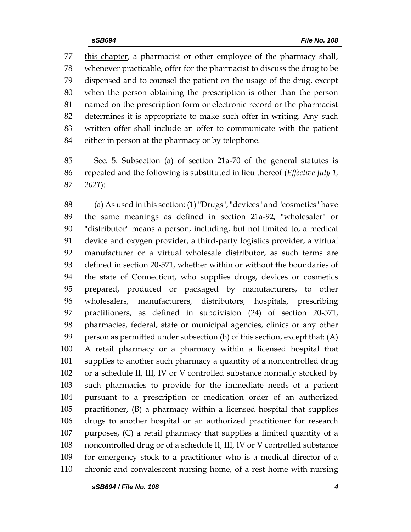this chapter, a pharmacist or other employee of the pharmacy shall, whenever practicable, offer for the pharmacist to discuss the drug to be dispensed and to counsel the patient on the usage of the drug, except when the person obtaining the prescription is other than the person named on the prescription form or electronic record or the pharmacist determines it is appropriate to make such offer in writing. Any such written offer shall include an offer to communicate with the patient either in person at the pharmacy or by telephone.

 Sec. 5. Subsection (a) of section 21a-70 of the general statutes is repealed and the following is substituted in lieu thereof (*Effective July 1, 2021*):

 (a) As used in this section: (1) "Drugs", "devices" and "cosmetics" have the same meanings as defined in section 21a-92, "wholesaler" or "distributor" means a person, including, but not limited to, a medical device and oxygen provider, a third-party logistics provider, a virtual manufacturer or a virtual wholesale distributor, as such terms are defined in section 20-571, whether within or without the boundaries of the state of Connecticut, who supplies drugs, devices or cosmetics prepared, produced or packaged by manufacturers, to other wholesalers, manufacturers, distributors, hospitals, prescribing practitioners, as defined in subdivision (24) of section 20-571, pharmacies, federal, state or municipal agencies, clinics or any other person as permitted under subsection (h) of this section, except that: (A) A retail pharmacy or a pharmacy within a licensed hospital that supplies to another such pharmacy a quantity of a noncontrolled drug or a schedule II, III, IV or V controlled substance normally stocked by such pharmacies to provide for the immediate needs of a patient pursuant to a prescription or medication order of an authorized practitioner, (B) a pharmacy within a licensed hospital that supplies drugs to another hospital or an authorized practitioner for research purposes, (C) a retail pharmacy that supplies a limited quantity of a noncontrolled drug or of a schedule II, III, IV or V controlled substance for emergency stock to a practitioner who is a medical director of a chronic and convalescent nursing home, of a rest home with nursing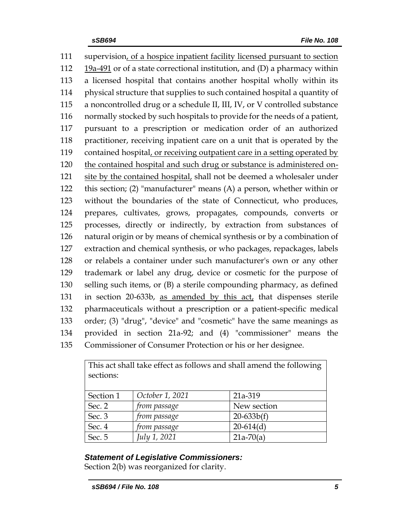supervision, of a hospice inpatient facility licensed pursuant to section 19a-491 or of a state correctional institution, and (D) a pharmacy within a licensed hospital that contains another hospital wholly within its physical structure that supplies to such contained hospital a quantity of a noncontrolled drug or a schedule II, III, IV, or V controlled substance normally stocked by such hospitals to provide for the needs of a patient, pursuant to a prescription or medication order of an authorized practitioner, receiving inpatient care on a unit that is operated by the contained hospital, or receiving outpatient care in a setting operated by the contained hospital and such drug or substance is administered on- site by the contained hospital, shall not be deemed a wholesaler under this section; (2) "manufacturer" means (A) a person, whether within or without the boundaries of the state of Connecticut, who produces, prepares, cultivates, grows, propagates, compounds, converts or processes, directly or indirectly, by extraction from substances of natural origin or by means of chemical synthesis or by a combination of extraction and chemical synthesis, or who packages, repackages, labels or relabels a container under such manufacturer's own or any other trademark or label any drug, device or cosmetic for the purpose of selling such items, or (B) a sterile compounding pharmacy, as defined in section 20-633b, as amended by this act, that dispenses sterile pharmaceuticals without a prescription or a patient-specific medical order; (3) "drug", "device" and "cosmetic" have the same meanings as provided in section 21a-92; and (4) "commissioner" means the Commissioner of Consumer Protection or his or her designee.

| This act shall take effect as follows and shall amend the following<br>sections: |                 |              |
|----------------------------------------------------------------------------------|-----------------|--------------|
| Section 1                                                                        | October 1, 2021 | 21a-319      |
| Sec. 2                                                                           | from passage    | New section  |
| Sec. 3                                                                           | from passage    | $20-633b(f)$ |
| Sec. 4                                                                           | from passage    | $20-614(d)$  |
| Sec. 5                                                                           | July 1, 2021    | $21a-70(a)$  |

This act shall take effect as follows and shall amend the following

## *Statement of Legislative Commissioners:*

Section 2(b) was reorganized for clarity.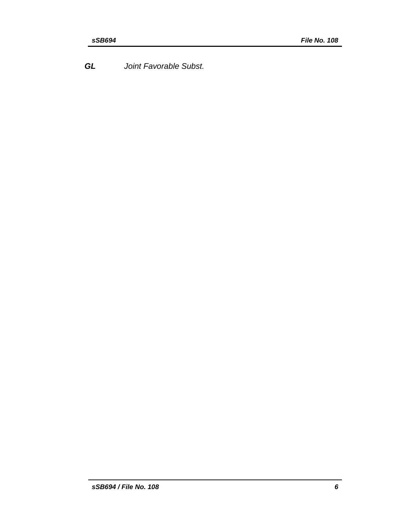*GL Joint Favorable Subst.*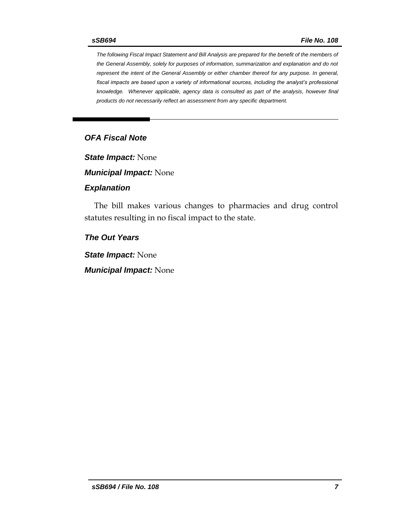*The following Fiscal Impact Statement and Bill Analysis are prepared for the benefit of the members of the General Assembly, solely for purposes of information, summarization and explanation and do not represent the intent of the General Assembly or either chamber thereof for any purpose. In general, fiscal impacts are based upon a variety of informational sources, including the analyst's professional knowledge. Whenever applicable, agency data is consulted as part of the analysis, however final products do not necessarily reflect an assessment from any specific department.*

#### *OFA Fiscal Note*

*State Impact:* None

*Municipal Impact:* None

#### *Explanation*

The bill makes various changes to pharmacies and drug control statutes resulting in no fiscal impact to the state.

#### *The Out Years*

*State Impact:* None

*Municipal Impact:* None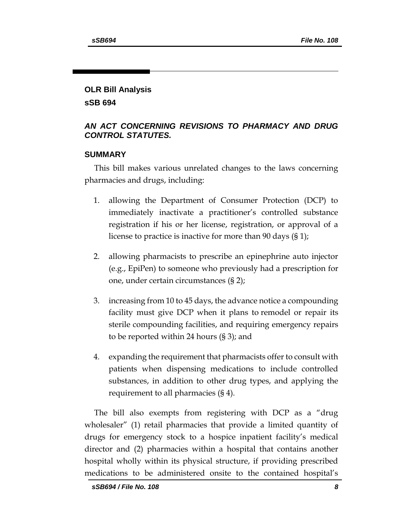# **OLR Bill Analysis sSB 694**

#### *AN ACT CONCERNING REVISIONS TO PHARMACY AND DRUG CONTROL STATUTES.*

#### **SUMMARY**

This bill makes various unrelated changes to the laws concerning pharmacies and drugs, including:

- 1. allowing the Department of Consumer Protection (DCP) to immediately inactivate a practitioner's controlled substance registration if his or her license, registration, or approval of a license to practice is inactive for more than 90 days (§ 1);
- 2. allowing pharmacists to prescribe an epinephrine auto injector (e.g., EpiPen) to someone who previously had a prescription for one, under certain circumstances (§ 2);
- 3. increasing from 10 to 45 days, the advance notice a compounding facility must give DCP when it plans to remodel or repair its sterile compounding facilities, and requiring emergency repairs to be reported within 24 hours (§ 3); and
- 4. expanding the requirement that pharmacists offer to consult with patients when dispensing medications to include controlled substances, in addition to other drug types, and applying the requirement to all pharmacies (§ 4).

The bill also exempts from registering with DCP as a "drug wholesaler" (1) retail pharmacies that provide a limited quantity of drugs for emergency stock to a hospice inpatient facility's medical director and (2) pharmacies within a hospital that contains another hospital wholly within its physical structure, if providing prescribed medications to be administered onsite to the contained hospital's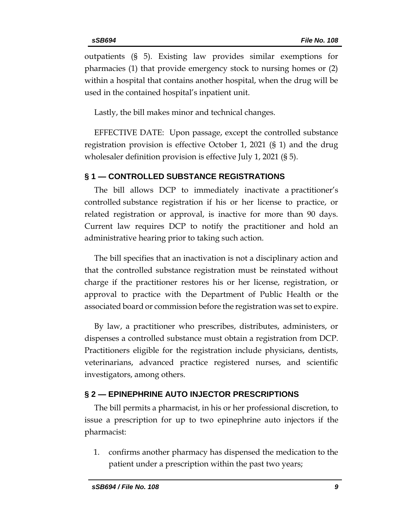outpatients (§ 5). Existing law provides similar exemptions for pharmacies (1) that provide emergency stock to nursing homes or (2) within a hospital that contains another hospital, when the drug will be used in the contained hospital's inpatient unit.

Lastly, the bill makes minor and technical changes.

EFFECTIVE DATE: Upon passage, except the controlled substance registration provision is effective October 1, 2021 (§ 1) and the drug wholesaler definition provision is effective July 1, 2021 (§ 5).

# **§ 1 — CONTROLLED SUBSTANCE REGISTRATIONS**

The bill allows DCP to immediately inactivate a practitioner's controlled substance registration if his or her license to practice, or related registration or approval, is inactive for more than 90 days. Current law requires DCP to notify the practitioner and hold an administrative hearing prior to taking such action.

The bill specifies that an inactivation is not a disciplinary action and that the controlled substance registration must be reinstated without charge if the practitioner restores his or her license, registration, or approval to practice with the Department of Public Health or the associated board or commission before the registration was set to expire.

By law, a practitioner who prescribes, distributes, administers, or dispenses a controlled substance must obtain a registration from DCP. Practitioners eligible for the registration include physicians, dentists, veterinarians, advanced practice registered nurses, and scientific investigators, among others.

## **§ 2 — EPINEPHRINE AUTO INJECTOR PRESCRIPTIONS**

The bill permits a pharmacist, in his or her professional discretion, to issue a prescription for up to two epinephrine auto injectors if the pharmacist:

1. confirms another pharmacy has dispensed the medication to the patient under a prescription within the past two years;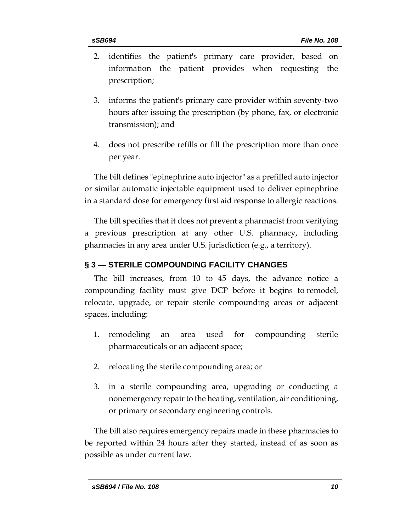- 2. identifies the patient's primary care provider, based on information the patient provides when requesting the prescription;
- 3. informs the patient's primary care provider within seventy-two hours after issuing the prescription (by phone, fax, or electronic transmission); and
- 4. does not prescribe refills or fill the prescription more than once per year.

The bill defines "epinephrine auto injector" as a prefilled auto injector or similar automatic injectable equipment used to deliver epinephrine in a standard dose for emergency first aid response to allergic reactions.

The bill specifies that it does not prevent a pharmacist from verifying a previous prescription at any other U.S. pharmacy, including pharmacies in any area under U.S. jurisdiction (e.g., a territory).

# **§ 3 — STERILE COMPOUNDING FACILITY CHANGES**

The bill increases, from 10 to 45 days, the advance notice a compounding facility must give DCP before it begins to remodel, relocate, upgrade, or repair sterile compounding areas or adjacent spaces, including:

- 1. remodeling an area used for compounding sterile pharmaceuticals or an adjacent space;
- 2. relocating the sterile compounding area; or
- 3. in a sterile compounding area, upgrading or conducting a nonemergency repair to the heating, ventilation, air conditioning, or primary or secondary engineering controls.

The bill also requires emergency repairs made in these pharmacies to be reported within 24 hours after they started, instead of as soon as possible as under current law.